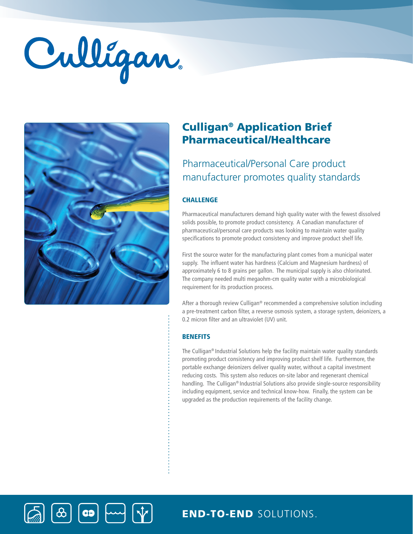# Culligan



 $\left| \bullet \right|$ 

# Culligan® Application Brief Pharmaceutical/Healthcare

# Pharmaceutical/Personal Care product manufacturer promotes quality standards

## **CHALLENGE**

Pharmaceutical manufacturers demand high quality water with the fewest dissolved solids possible, to promote product consistency. A Canadian manufacturer of pharmaceutical/personal care products was looking to maintain water quality specifications to promote product consistency and improve product shelf life.

First the source water for the manufacturing plant comes from a municipal water supply. The influent water has hardness (Calcium and Magnesium hardness) of approximately 6 to 8 grains per gallon. The municipal supply is also chlorinated. The company needed multi megaohm-cm quality water with a microbiological requirement for its production process.

After a thorough review Culligan® recommended a comprehensive solution including a pre-treatment carbon filter, a reverse osmosis system, a storage system, deionizers, a 0.2 micron filter and an ultraviolet (UV) unit.

### **BENEFITS**

The Culligan® Industrial Solutions help the facility maintain water quality standards promoting product consistency and improving product shelf life. Furthermore, the portable exchange deionizers deliver quality water, without a capital investment reducing costs. This system also reduces on-site labor and regenerant chemical handling. The Culligan® Industrial Solutions also provide single-source responsibility including equipment, service and technical know-how. Finally, the system can be upgraded as the production requirements of the facility change.